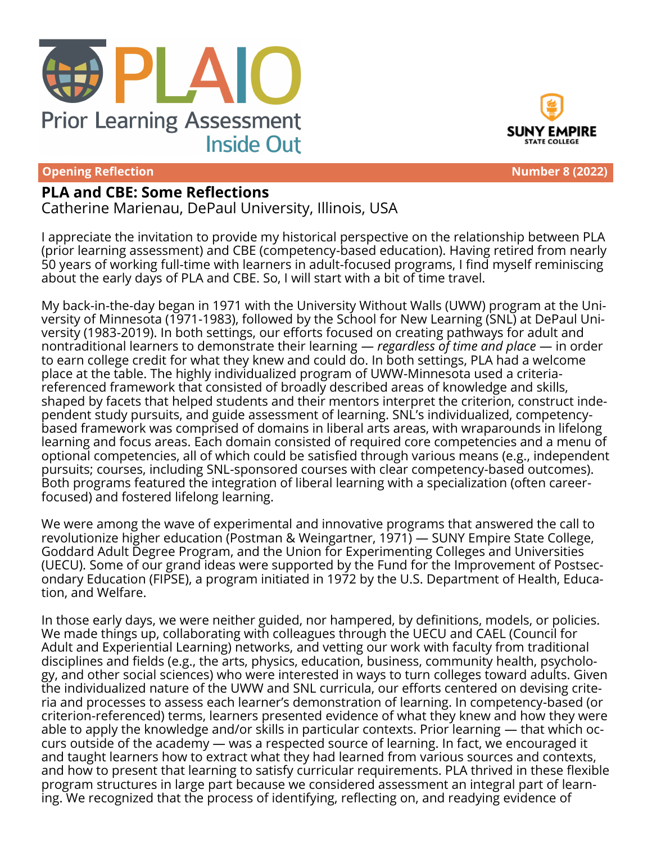



**Opening Reflection Number 8 (2022)** 

## **PLA and CBE: Some Reflections**

Catherine Marienau, DePaul University, Illinois, USA

I appreciate the invitation to provide my historical perspective on the relationship between PLA (prior learning assessment) and CBE (competency-based education). Having retired from nearly 50 years of working full-time with learners in adult-focused programs, I find myself reminiscing about the early days of PLA and CBE. So, I will start with a bit of time travel.

My back-in-the-day began in 1971 with the University Without Walls (UWW) program at the University of Minnesota (1971-1983), followed by the School for New Learning (SNL) at DePaul University (1983-2019). In both settings, our efforts focused on creating pathways for adult and nontraditional learners to demonstrate their learning — *regardless of time and place* — in order to earn college credit for what they knew and could do. In both settings, PLA had a welcome place at the table. The highly individualized program of UWW-Minnesota used a criteriareferenced framework that consisted of broadly described areas of knowledge and skills, shaped by facets that helped students and their mentors interpret the criterion, construct independent study pursuits, and guide assessment of learning. SNL's individualized, competencybased framework was comprised of domains in liberal arts areas, with wraparounds in lifelong learning and focus areas. Each domain consisted of required core competencies and a menu of optional competencies, all of which could be satisfied through various means (e.g., independent pursuits; courses, including SNL-sponsored courses with clear competency-based outcomes). Both programs featured the integration of liberal learning with a specialization (often careerfocused) and fostered lifelong learning.

We were among the wave of experimental and innovative programs that answered the call to revolutionize higher education (Postman & Weingartner, 1971) — SUNY Empire State College, Goddard Adult Degree Program, and the Union for Experimenting Colleges and Universities (UECU). Some of our grand ideas were supported by the Fund for the Improvement of Postsecondary Education (FIPSE), a program initiated in 1972 by the U.S. Department of Health, Education, and Welfare.

In those early days, we were neither guided, nor hampered, by definitions, models, or policies. We made things up, collaborating with colleagues through the UECU and CAEL (Council for Adult and Experiential Learning) networks, and vetting our work with faculty from traditional disciplines and fields (e.g., the arts, physics, education, business, community health, psychology, and other social sciences) who were interested in ways to turn colleges toward adults. Given the individualized nature of the UWW and SNL curricula, our efforts centered on devising criteria and processes to assess each learner's demonstration of learning. In competency-based (or criterion-referenced) terms, learners presented evidence of what they knew and how they were able to apply the knowledge and/or skills in particular contexts. Prior learning — that which occurs outside of the academy — was a respected source of learning. In fact, we encouraged it and taught learners how to extract what they had learned from various sources and contexts, and how to present that learning to satisfy curricular requirements. PLA thrived in these flexible program structures in large part because we considered assessment an integral part of learning. We recognized that the process of identifying, reflecting on, and readying evidence of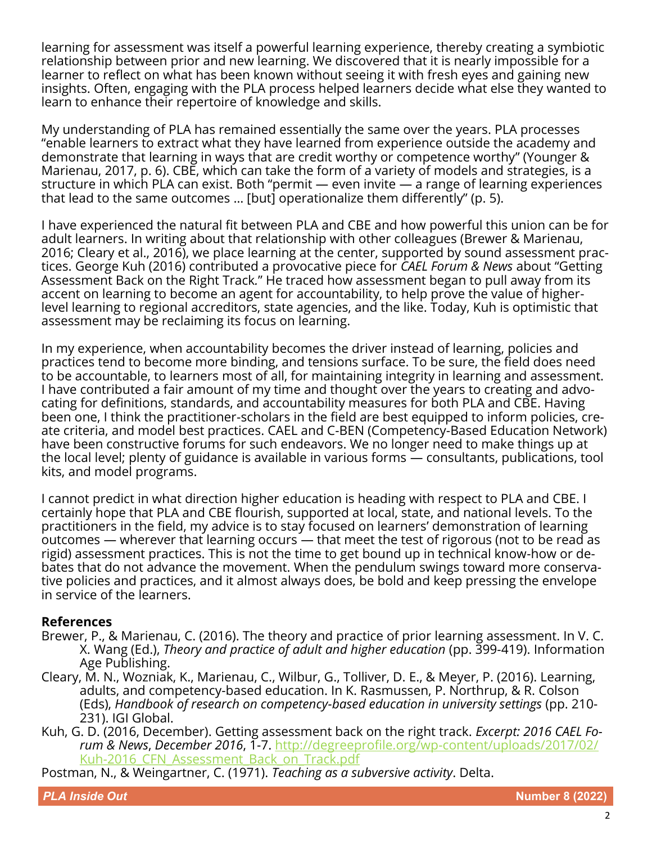learning for assessment was itself a powerful learning experience, thereby creating a symbiotic relationship between prior and new learning. We discovered that it is nearly impossible for a learner to reflect on what has been known without seeing it with fresh eyes and gaining new insights. Often, engaging with the PLA process helped learners decide what else they wanted to learn to enhance their repertoire of knowledge and skills.

My understanding of PLA has remained essentially the same over the years. PLA processes "enable learners to extract what they have learned from experience outside the academy and demonstrate that learning in ways that are credit worthy or competence worthy" (Younger & Marienau, 2017, p. 6). CBE, which can take the form of a variety of models and strategies, is a structure in which PLA can exist. Both "permit — even invite — a range of learning experiences that lead to the same outcomes … [but] operationalize them differently" (p. 5).

I have experienced the natural fit between PLA and CBE and how powerful this union can be for adult learners. In writing about that relationship with other colleagues (Brewer & Marienau, 2016; Cleary et al., 2016), we place learning at the center, supported by sound assessment practices. George Kuh (2016) contributed a provocative piece for *CAEL Forum & News* about "Getting Assessment Back on the Right Track*.*" He traced how assessment began to pull away from its accent on learning to become an agent for accountability, to help prove the value of higherlevel learning to regional accreditors, state agencies, and the like. Today, Kuh is optimistic that assessment may be reclaiming its focus on learning.

In my experience, when accountability becomes the driver instead of learning, policies and practices tend to become more binding, and tensions surface. To be sure, the field does need to be accountable, to learners most of all, for maintaining integrity in learning and assessment. I have contributed a fair amount of my time and thought over the years to creating and advocating for definitions, standards, and accountability measures for both PLA and CBE. Having been one, I think the practitioner-scholars in the field are best equipped to inform policies, create criteria, and model best practices. CAEL and C-BEN (Competency-Based Education Network) have been constructive forums for such endeavors. We no longer need to make things up at the local level; plenty of guidance is available in various forms — consultants, publications, tool kits, and model programs.

I cannot predict in what direction higher education is heading with respect to PLA and CBE. I certainly hope that PLA and CBE flourish, supported at local, state, and national levels. To the practitioners in the field, my advice is to stay focused on learners' demonstration of learning  $\overline{\phantom{a}}$  outcomes — wherever that learning occurs — that meet the test of rigorous (not to be read as rigid) assessment practices. This is not the time to get bound up in technical know-how or debates that do not advance the movement. When the pendulum swings toward more conservative policies and practices, and it almost always does, be bold and keep pressing the envelope in service of the learners.

## **References**

- Brewer, P., & Marienau, C. (2016). The theory and practice of prior learning assessment. In V. C. X. Wang (Ed.), *Theory and practice of adult and higher education* (pp. 399-419). Information Age Publishing.
- Cleary, M. N., Wozniak, K., Marienau, C., Wilbur, G., Tolliver, D. E., & Meyer, P. (2016). Learning, adults, and competency-based education. In K. Rasmussen, P. Northrup, & R. Colson (Eds), *Handbook of research on competency-based education in university settings* (pp. 210- 231). IGI Global.
- Kuh, G. D. (2016, December). Getting assessment back on the right track. *Excerpt: 2016 CAEL Forum & News*, *December 2016*, 1-7. [http://degreeprofile.org/wp](http://degreeprofile.org/wp-content/uploads/2017/02/Kuh-2016_CFN_Assessment_Back_on_Track.pdf)-content/uploads/2017/02/ Kuh-2016 CFN Assessment Back on Track.pdf

Postman, N., & Weingartner, C. (1971). *Teaching as a subversive activity*. Delta.

*PLA Inside Out* **Number 8 (2022)**